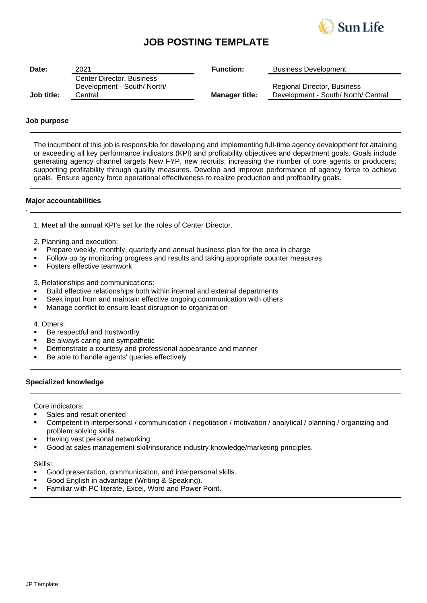

# **JOB POSTING TEMPLATE**

| Date:      | 2021                        | <b>Function:</b>      | <b>Business Development</b>         |
|------------|-----------------------------|-----------------------|-------------------------------------|
|            | Center Director, Business   |                       |                                     |
|            | Development - South/ North/ |                       | Regional Director, Business         |
| Job title: | Central                     | <b>Manager title:</b> | Development - South/ North/ Central |

# **Job purpose**

*.*

The incumbent of this job is responsible for developing and implementing full-time agency development for attaining or exceeding all key performance indicators (KPI) and profitability objectives and department goals. Goals include generating agency channel targets New FYP, new recruits; increasing the number of core agents or producers; supporting profitability through quality measures. Develop and improve performance of agency force to achieve goals. Ensure agency force operational effectiveness to realize production and profitability goals.

### **Major accountabilities**

| 1. Meet all the annual KPI's set for the roles of Center Director. |
|--------------------------------------------------------------------|
|--------------------------------------------------------------------|

2. Planning and execution:

- Prepare weekly, monthly, quarterly and annual business plan for the area in charge
- Follow up by monitoring progress and results and taking appropriate counter measures
- Fosters effective teamwork

3. Relationships and communications:

- Build effective relationships both within internal and external departments
- Seek input from and maintain effective ongoing communication with others
- Manage conflict to ensure least disruption to organization

4. Others:

- Be respectful and trustworthy
- Be always caring and sympathetic
- **EXEDEM** Demonstrate a courtesy and professional appearance and manner
- Be able to handle agents' queries effectively

### **Specialized knowledge**

Core indicators:

- Sales and result oriented
- Competent in interpersonal / communication / negotiation / motivation / analytical / planning / organizing and problem solving skills.
- **E** Having vast personal networking.
- Good at sales management skill/insurance industry knowledge/marketing principles.

Skills:

- Good presentation, communication, and interpersonal skills.
- Good English in advantage (Writing & Speaking).
- Familiar with PC literate, Excel, Word and Power Point.